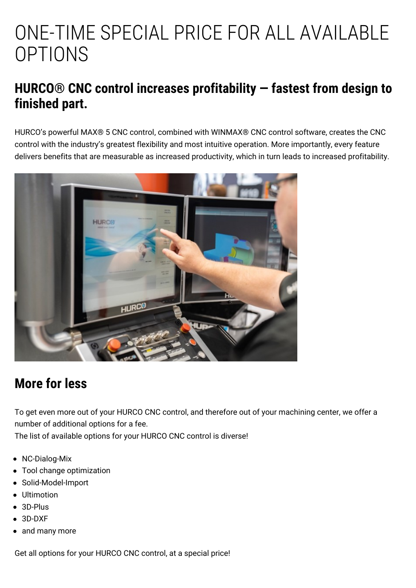# ONE-TIME SPECIAL PRICE FOR ALL AVAILABLE **OPTIONS**

### **HURCO® CNC control increases profitability — fastest from design to finished part.**

HURCO's powerful MAX® 5 CNC [control](https://www.hurco.eu/software/max-5/), combined with WINMAX® CNC control software, creates the CNC control with the industry's greatest flexibility and most intuitive operation. More importantly, every feature delivers benefits that are measurable as increased productivity, which in turn leads to increased profitability.



## **More for less**

To get even more out of your HURCO CNC control, and therefore out of your machining center, we offer a number of additional options for a fee.

The list of available options for your HURCO CNC control is diverse!

- NC-Dialog-Mix
- Tool change optimization
- Solid-Model-Import
- Ultimotion
- 3D-Plus
- 3D-DXF
- and many more

Get all options for your HURCO CNC control, at a special price!